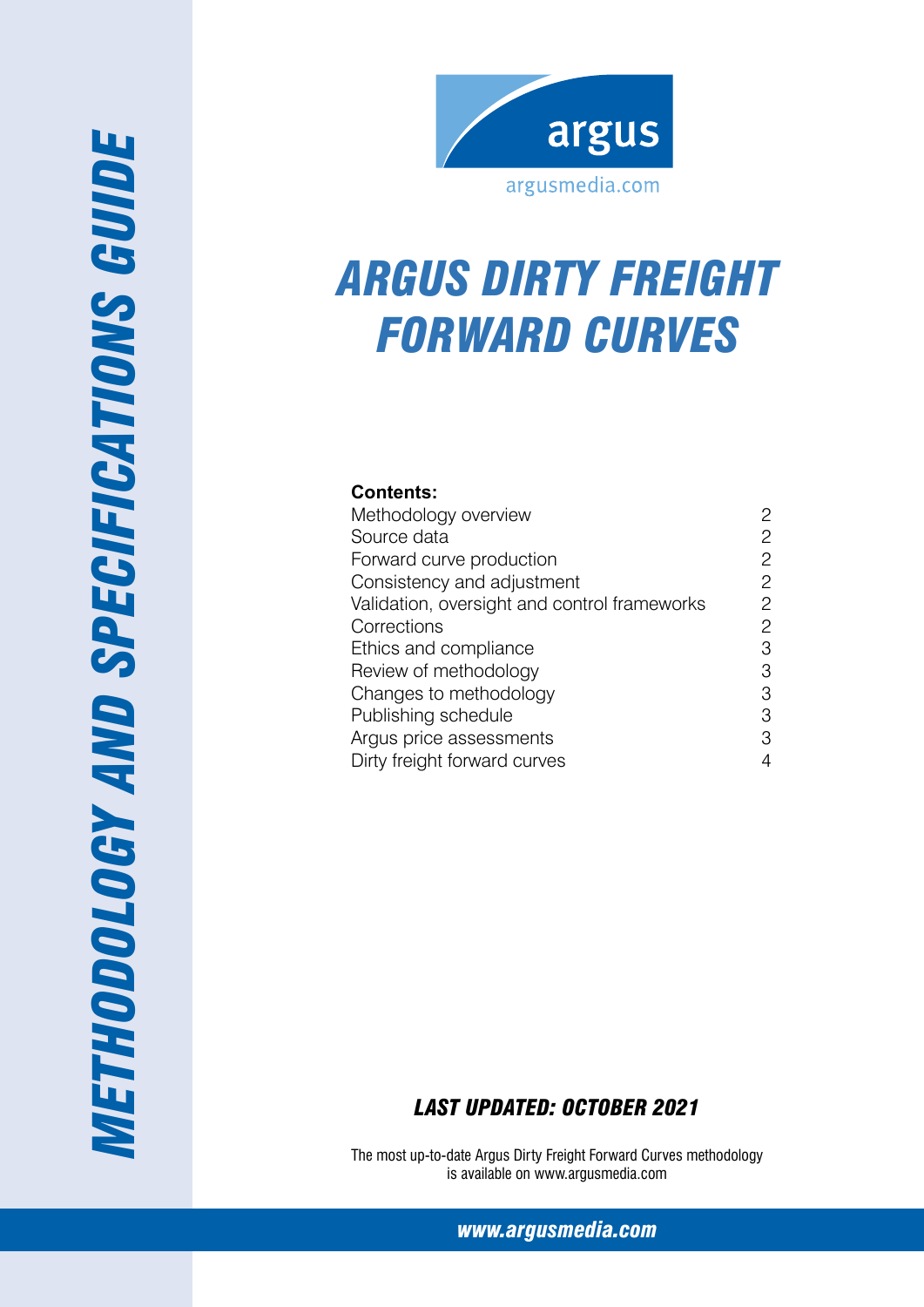

# *ARG US Dirty freight Forward Curves*

#### **Contents:**

| Methodology overview                         | 2              |
|----------------------------------------------|----------------|
| Source data                                  | 2              |
| Forward curve production                     | $\overline{c}$ |
| Consistency and adjustment                   | 2              |
| Validation, oversight and control frameworks | 2              |
| Corrections                                  | 2              |
| Ethics and compliance                        | 3              |
| Review of methodology                        | 3              |
| Changes to methodology                       | 3              |
| Publishing schedule                          | 3              |
| Argus price assessments                      | 3              |
| Dirty freight forward curves                 | 4              |

## *Last Updated: October 2021*

The most up-to-date Argus Dirty Freight Forward Curves methodology is available on www.argusmedia.com

*[www.argusmedia.com](http://www.argusmediagroup.com)*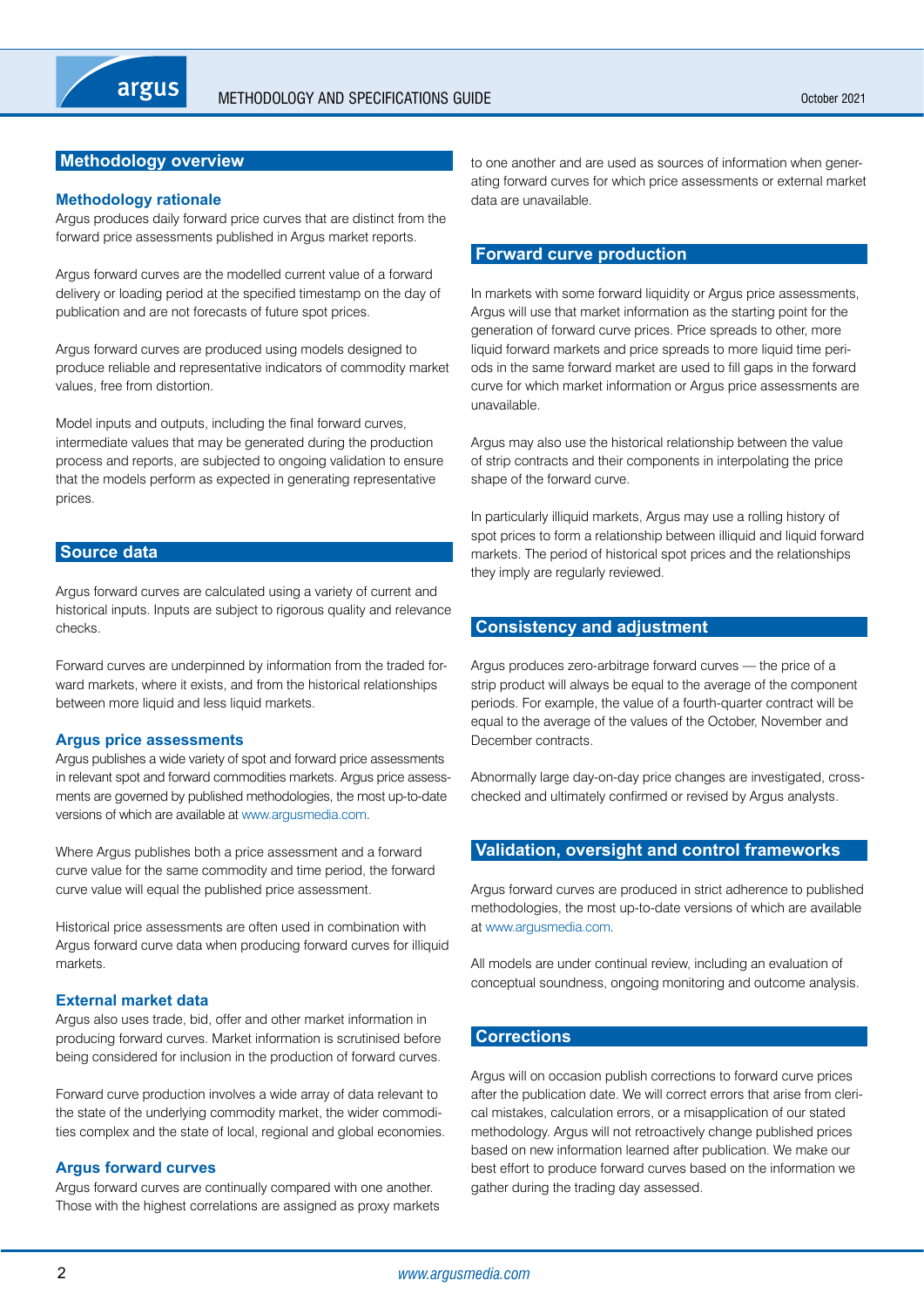## <span id="page-1-0"></span>**Methodology overview**

#### **Methodology rationale**

Argus produces daily forward price curves that are distinct from the forward price assessments published in Argus market reports.

Argus forward curves are the modelled current value of a forward delivery or loading period at the specified timestamp on the day of publication and are not forecasts of future spot prices.

Argus forward curves are produced using models designed to produce reliable and representative indicators of commodity market values, free from distortion.

Model inputs and outputs, including the final forward curves, intermediate values that may be generated during the production process and reports, are subjected to ongoing validation to ensure that the models perform as expected in generating representative prices.

#### **Source data**

Argus forward curves are calculated using a variety of current and historical inputs. Inputs are subject to rigorous quality and relevance checks.

Forward curves are underpinned by information from the traded forward markets, where it exists, and from the historical relationships between more liquid and less liquid markets.

#### **Argus price assessments**

Argus publishes a wide variety of spot and forward price assessments in relevant spot and forward commodities markets. Argus price assessments are governed by published methodologies, the most up-to-date versions of which are available at<www.argusmedia.com>.

Where Argus publishes both a price assessment and a forward curve value for the same commodity and time period, the forward curve value will equal the published price assessment.

Historical price assessments are often used in combination with Argus forward curve data when producing forward curves for illiquid markets.

#### **External market data**

Argus also uses trade, bid, offer and other market information in producing forward curves. Market information is scrutinised before being considered for inclusion in the production of forward curves.

Forward curve production involves a wide array of data relevant to the state of the underlying commodity market, the wider commodities complex and the state of local, regional and global economies.

#### **Argus forward curves**

Argus forward curves are continually compared with one another. Those with the highest correlations are assigned as proxy markets to one another and are used as sources of information when generating forward curves for which price assessments or external market data are unavailable.

#### **Forward curve production**

In markets with some forward liquidity or Argus price assessments, Argus will use that market information as the starting point for the generation of forward curve prices. Price spreads to other, more liquid forward markets and price spreads to more liquid time periods in the same forward market are used to fill gaps in the forward curve for which market information or Argus price assessments are unavailable.

Argus may also use the historical relationship between the value of strip contracts and their components in interpolating the price shape of the forward curve.

In particularly illiquid markets, Argus may use a rolling history of spot prices to form a relationship between illiquid and liquid forward markets. The period of historical spot prices and the relationships they imply are regularly reviewed.

#### **Consistency and adjustment**

Argus produces zero-arbitrage forward curves — the price of a strip product will always be equal to the average of the component periods. For example, the value of a fourth-quarter contract will be equal to the average of the values of the October, November and December contracts.

Abnormally large day-on-day price changes are investigated, crosschecked and ultimately confirmed or revised by Argus analysts.

## **Validation, oversight and control frameworks**

Argus forward curves are produced in strict adherence to published methodologies, the most up-to-date versions of which are available at <www.argusmedia.com>.

All models are under continual review, including an evaluation of conceptual soundness, ongoing monitoring and outcome analysis.

#### **Corrections**

Argus will on occasion publish corrections to forward curve prices after the publication date. We will correct errors that arise from clerical mistakes, calculation errors, or a misapplication of our stated methodology. Argus will not retroactively change published prices based on new information learned after publication. We make our best effort to produce forward curves based on the information we gather during the trading day assessed.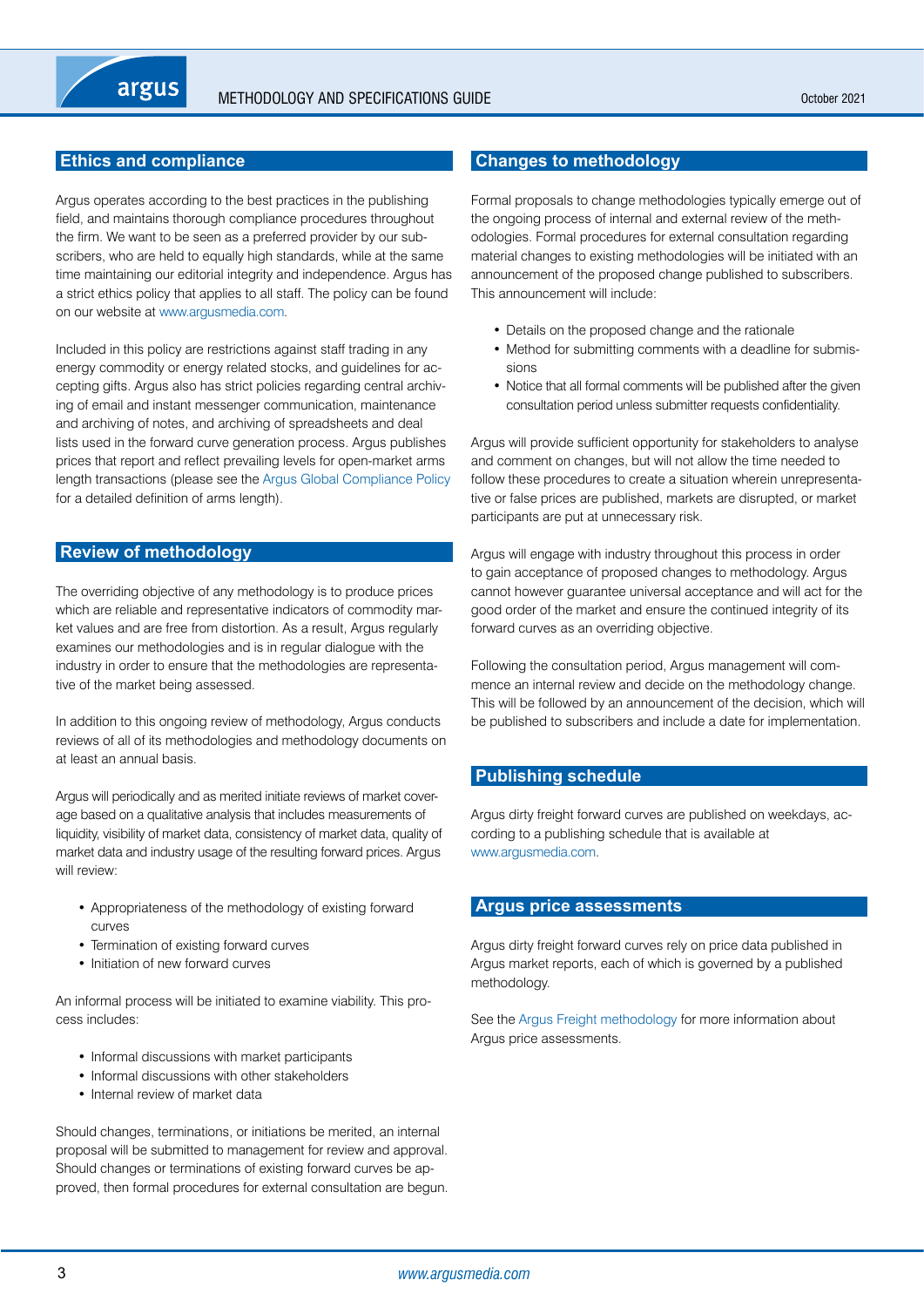## <span id="page-2-0"></span>**Ethics and compliance**

Argus operates according to the best practices in the publishing field, and maintains thorough compliance procedures throughout the firm. We want to be seen as a preferred provider by our subscribers, who are held to equally high standards, while at the same time maintaining our editorial integrity and independence. Argus has a strict ethics policy that applies to all staff. The policy can be found on our website at <www.argusmedia.com>.

Included in this policy are restrictions against staff trading in any energy commodity or energy related stocks, and guidelines for accepting gifts. Argus also has strict policies regarding central archiving of email and instant messenger communication, maintenance and archiving of notes, and archiving of spreadsheets and deal lists used in the forward curve generation process. Argus publishes prices that report and reflect prevailing levels for open-market arms length transactions (please see the [Argus Global Compliance Policy](https://www.argusmedia.com/-/media/Files/governance-and-compliance/global-compliance.ashx?la=en&hash=D7D700EDAED183C15910880EDA933A50CDE8D196) for a detailed definition of arms length).

#### **Review of methodology**

The overriding objective of any methodology is to produce prices which are reliable and representative indicators of commodity market values and are free from distortion. As a result, Argus regularly examines our methodologies and is in regular dialogue with the industry in order to ensure that the methodologies are representative of the market being assessed.

In addition to this ongoing review of methodology, Argus conducts reviews of all of its methodologies and methodology documents on at least an annual basis.

Argus will periodically and as merited initiate reviews of market coverage based on a qualitative analysis that includes measurements of liquidity, visibility of market data, consistency of market data, quality of market data and industry usage of the resulting forward prices. Argus will review:

- • Appropriateness of the methodology of existing forward curves
- Termination of existing forward curves
- Initiation of new forward curves

An informal process will be initiated to examine viability. This process includes:

- Informal discussions with market participants
- Informal discussions with other stakeholders
- Internal review of market data

Should changes, terminations, or initiations be merited, an internal proposal will be submitted to management for review and approval. Should changes or terminations of existing forward curves be approved, then formal procedures for external consultation are begun.

#### **Changes to methodology**

Formal proposals to change methodologies typically emerge out of the ongoing process of internal and external review of the methodologies. Formal procedures for external consultation regarding material changes to existing methodologies will be initiated with an announcement of the proposed change published to subscribers. This announcement will include:

- Details on the proposed change and the rationale
- Method for submitting comments with a deadline for submissions
- Notice that all formal comments will be published after the given consultation period unless submitter requests confidentiality.

Argus will provide sufficient opportunity for stakeholders to analyse and comment on changes, but will not allow the time needed to follow these procedures to create a situation wherein unrepresentative or false prices are published, markets are disrupted, or market participants are put at unnecessary risk.

Argus will engage with industry throughout this process in order to gain acceptance of proposed changes to methodology. Argus cannot however guarantee universal acceptance and will act for the good order of the market and ensure the continued integrity of its forward curves as an overriding objective.

Following the consultation period, Argus management will commence an internal review and decide on the methodology change. This will be followed by an announcement of the decision, which will be published to subscribers and include a date for implementation.

#### **Publishing schedule**

Argus dirty freight forward curves are published on weekdays, according to a publishing schedule that is available at [www.argusmedia.com.](www.argusmedia.com)

#### **Argus price assessments**

Argus dirty freight forward curves rely on price data published in Argus market reports, each of which is governed by a published methodology.

See the [Argus Freight methodology](https://www.argusmedia.com/-/media/Files/methodology/argus-freight.ashx) for more information about Argus price assessments.